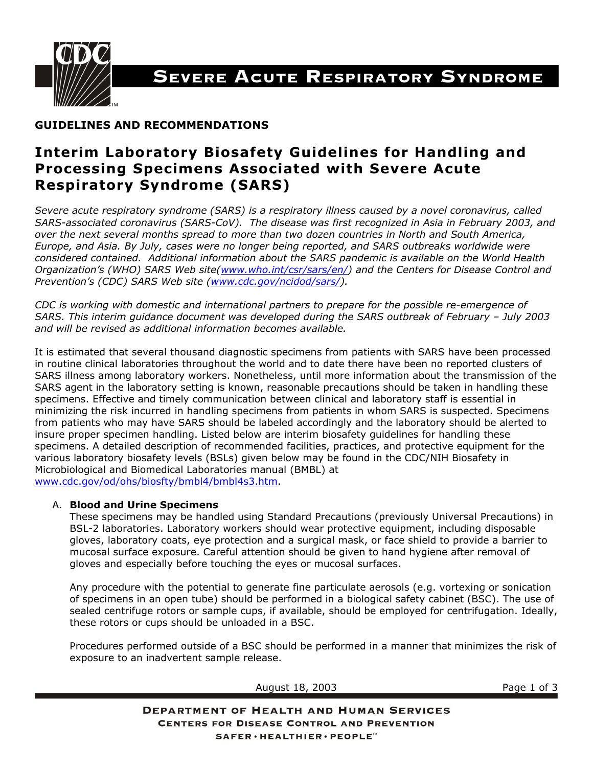

# SEVERE ACUTE RESPIRATORY SYNDROME

## **GUIDELINES AND RECOMMENDATIONS**

## **Interim Laboratory Biosafety Guidelines for Handling and Processing Specimens Associated with Severe Acute Respiratory Syndrome (SARS)**

*Severe acute respiratory syndrome (SARS) is a respiratory illness caused by a novel coronavirus, called SARS-associated coronavirus (SARS-CoV). The disease was first recognized in Asia in February 2003, and over the next several months spread to more than two dozen countries in North and South America, Europe, and Asia. By July, cases were no longer being reported, and SARS outbreaks worldwide were considered contained. Additional information about the SARS pandemic is available on the World Health Organization's (WHO) SARS Web site[\(www.who.int/csr/sars/en/](http://www.who.int/csr/sars/en/)) and the Centers for Disease Control and Prevention's (CDC) SARS Web site ([www.cdc.gov/ncidod/sars/](http://www.cdc.gov/ncidod/sars/)).* 

*CDC is working with domestic and international partners to prepare for the possible re-emergence of SARS. This interim guidance document was developed during the SARS outbreak of February – July 2003 and will be revised as additional information becomes available.* 

It is estimated that several thousand diagnostic specimens from patients with SARS have been processed in routine clinical laboratories throughout the world and to date there have been no reported clusters of SARS illness among laboratory workers. Nonetheless, until more information about the transmission of the SARS agent in the laboratory setting is known, reasonable precautions should be taken in handling these specimens. Effective and timely communication between clinical and laboratory staff is essential in minimizing the risk incurred in handling specimens from patients in whom SARS is suspected. Specimens from patients who may have SARS should be labeled accordingly and the laboratory should be alerted to insure proper specimen handling. Listed below are interim biosafety guidelines for handling these specimens. A detailed description of recommended facilities, practices, and protective equipment for the various laboratory biosafety levels (BSLs) given below may be found in the CDC/NIH Biosafety in Microbiological and Biomedical Laboratories manual (BMBL) at [www.cdc.gov/od/ohs/biosfty/bmbl4/bmbl4s3.htm.](http://www.cdc.gov/od/ohs/biosfty/bmbl4/bmbl4s3.htm)

#### A. **Blood and Urine Specimens**

These specimens may be handled using Standard Precautions (previously Universal Precautions) in BSL-2 laboratories. Laboratory workers should wear protective equipment, including disposable gloves, laboratory coats, eye protection and a surgical mask, or face shield to provide a barrier to mucosal surface exposure. Careful attention should be given to hand hygiene after removal of gloves and especially before touching the eyes or mucosal surfaces.

Any procedure with the potential to generate fine particulate aerosols (e.g. vortexing or sonication of specimens in an open tube) should be performed in a biological safety cabinet (BSC). The use of sealed centrifuge rotors or sample cups, if available, should be employed for centrifugation. Ideally, these rotors or cups should be unloaded in a BSC.

Procedures performed outside of a BSC should be performed in a manner that minimizes the risk of exposure to an inadvertent sample release.

| August 18, 2003                                                                                     | Page 1 of 3 |
|-----------------------------------------------------------------------------------------------------|-------------|
| <b>DEPARTMENT OF HEALTH AND HUMAN SERVICES</b><br><b>CENTERS FOR DISEASE CONTROL AND PREVENTION</b> |             |
| SAFER · HEALTHIER · PEOPLE™                                                                         |             |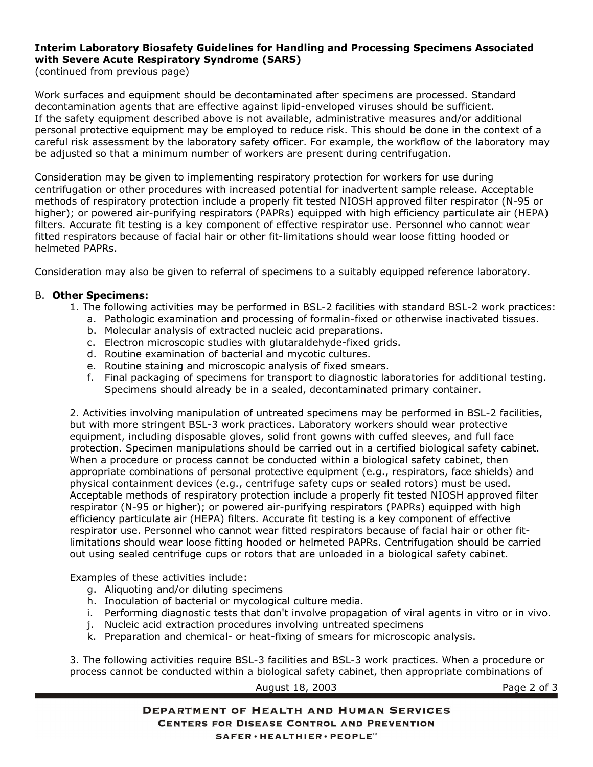## **Interim Laboratory Biosafety Guidelines for Handling and Processing Specimens Associated with Severe Acute Respiratory Syndrome (SARS)**

(continued from previous page)

Work surfaces and equipment should be decontaminated after specimens are processed. Standard decontamination agents that are effective against lipid-enveloped viruses should be sufficient. If the safety equipment described above is not available, administrative measures and/or additional personal protective equipment may be employed to reduce risk. This should be done in the context of a careful risk assessment by the laboratory safety officer. For example, the workflow of the laboratory may be adjusted so that a minimum number of workers are present during centrifugation.

Consideration may be given to implementing respiratory protection for workers for use during centrifugation or other procedures with increased potential for inadvertent sample release. Acceptable methods of respiratory protection include a properly fit tested NIOSH approved filter respirator (N-95 or higher); or powered air-purifying respirators (PAPRs) equipped with high efficiency particulate air (HEPA) filters. Accurate fit testing is a key component of effective respirator use. Personnel who cannot wear fitted respirators because of facial hair or other fit-limitations should wear loose fitting hooded or helmeted PAPRs.

Consideration may also be given to referral of specimens to a suitably equipped reference laboratory.

#### B. **Other Specimens:**

- 1. The following activities may be performed in BSL-2 facilities with standard BSL-2 work practices:
	- a. Pathologic examination and processing of formalin-fixed or otherwise inactivated tissues.
	- b. Molecular analysis of extracted nucleic acid preparations.
	- c. Electron microscopic studies with glutaraldehyde-fixed grids.
	- d. Routine examination of bacterial and mycotic cultures.
	- e. Routine staining and microscopic analysis of fixed smears.
	- f. Final packaging of specimens for transport to diagnostic laboratories for additional testing. Specimens should already be in a sealed, decontaminated primary container.

2. Activities involving manipulation of untreated specimens may be performed in BSL-2 facilities, but with more stringent BSL-3 work practices. Laboratory workers should wear protective equipment, including disposable gloves, solid front gowns with cuffed sleeves, and full face protection. Specimen manipulations should be carried out in a certified biological safety cabinet. When a procedure or process cannot be conducted within a biological safety cabinet, then appropriate combinations of personal protective equipment (e.g., respirators, face shields) and physical containment devices (e.g., centrifuge safety cups or sealed rotors) must be used. Acceptable methods of respiratory protection include a properly fit tested NIOSH approved filter respirator (N-95 or higher); or powered air-purifying respirators (PAPRs) equipped with high efficiency particulate air (HEPA) filters. Accurate fit testing is a key component of effective respirator use. Personnel who cannot wear fitted respirators because of facial hair or other fitlimitations should wear loose fitting hooded or helmeted PAPRs. Centrifugation should be carried out using sealed centrifuge cups or rotors that are unloaded in a biological safety cabinet.

Examples of these activities include:

- g. Aliquoting and/or diluting specimens
- h. Inoculation of bacterial or mycological culture media.
- i. Performing diagnostic tests that don't involve propagation of viral agents in vitro or in vivo.
- j. Nucleic acid extraction procedures involving untreated specimens
- k. Preparation and chemical- or heat-fixing of smears for microscopic analysis.

3. The following activities require BSL-3 facilities and BSL-3 work practices. When a procedure or process cannot be conducted within a biological safety cabinet, then appropriate combinations of

August 18, 2003 Page 2 of 3

**DEPARTMENT OF HEALTH AND HUMAN SERVICES CENTERS FOR DISEASE CONTROL AND PREVENTION** SAFER · HEALTHIER · PEOPLE™